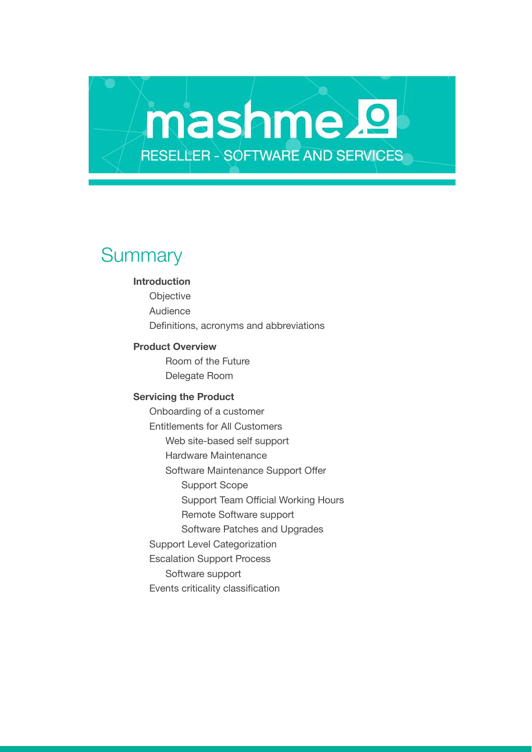# **Summary**

#### **Introduction**

Objective Audience Definitions, acronyms and abbreviations

mashme.<sup>2</sup>

**RESELLER - SOFTWARE AND SERVICES** 

#### **Product Overview**

Room of the Future Delegate Room

#### **Servicing the Product**

Onboarding of a customer Entitlements for All Customers Web site-based self support Hardware Maintenance Software Maintenance Support Offer Support Scope Support Team Official Working Hours Remote Software support Software Patches and Upgrades Support Level Categorization Escalation Support Process Software support Events criticality classification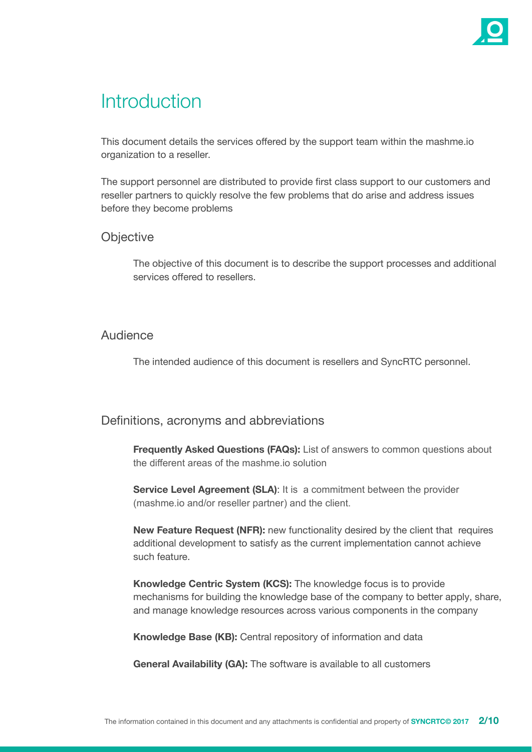

## **Introduction**

This document details the services offered by the support team within the mashme.io organization to a reseller.

The support personnel are distributed to provide first class support to our customers and reseller partners to quickly resolve the few problems that do arise and address issues before they become problems

## **Objective**

The objective of this document is to describe the support processes and additional services offered to resellers.

## Audience

The intended audience of this document is resellers and SyncRTC personnel.

## Definitions, acronyms and abbreviations

**Frequently Asked Questions (FAQs):** List of answers to common questions about the different areas of the mashme.io solution

**Service Level Agreement (SLA)**: It is a commitment between the provider (mashme.io and/or reseller partner) and the client.

**New Feature Request (NFR):** new functionality desired by the client that requires additional development to satisfy as the current implementation cannot achieve such feature.

**Knowledge Centric System (KCS):** The knowledge focus is to provide mechanisms for building the knowledge base of the company to better apply, share, and manage knowledge resources across various components in the company

**Knowledge Base (KB):** Central repository of information and data

**General Availability (GA):** The software is available to all customers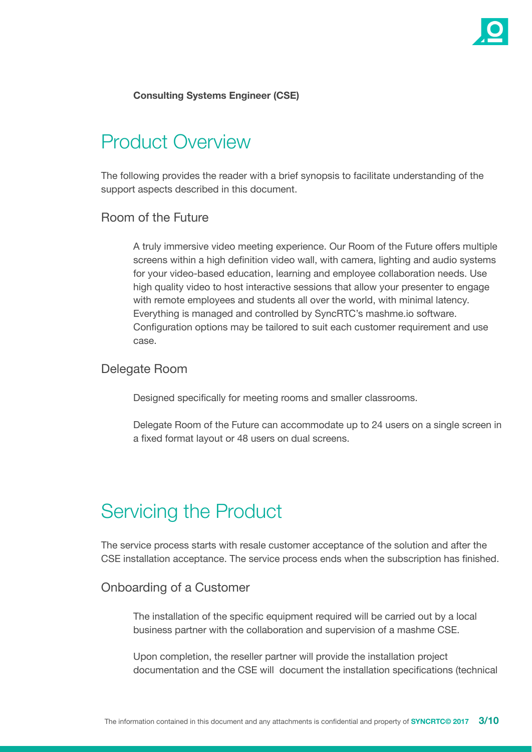

### **Consulting Systems Engineer (CSE)**

## Product Overview

The following provides the reader with a brief synopsis to facilitate understanding of the support aspects described in this document.

### Room of the Future

A truly immersive video meeting experience. Our Room of the Future offers multiple screens within a high definition video wall, with camera, lighting and audio systems for your video-based education, learning and employee collaboration needs. Use high quality video to host interactive sessions that allow your presenter to engage with remote employees and students all over the world, with minimal latency. Everything is managed and controlled by SyncRTC's mashme.io software. Configuration options may be tailored to suit each customer requirement and use case.

#### Delegate Room

Designed specifically for meeting rooms and smaller classrooms.

Delegate Room of the Future can accommodate up to 24 users on a single screen in a fixed format layout or 48 users on dual screens.

## Servicing the Product

The service process starts with resale customer acceptance of the solution and after the CSE installation acceptance. The service process ends when the subscription has finished.

### Onboarding of a Customer

The installation of the specific equipment required will be carried out by a local business partner with the collaboration and supervision of a mashme CSE.

Upon completion, the reseller partner will provide the installation project documentation and the CSE will document the installation specifications (technical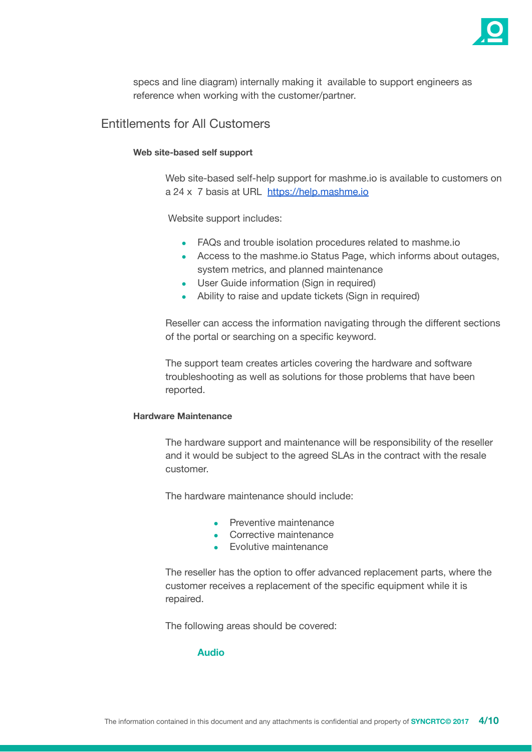

specs and line diagram) internally making it available to support engineers as reference when working with the customer/partner.

Entitlements for All Customers

#### **Web site-based self support**

Web site-based self-help support for mashme.io is available to customers on a 24 x 7 basis at URL <https://help.mashme.io>

Website support includes:

- FAQs and trouble isolation procedures related to mashme.io
- Access to the mashme.io Status Page, which informs about outages, system metrics, and planned maintenance
- User Guide information (Sign in required)
- Ability to raise and update tickets (Sign in required)

Reseller can access the information navigating through the different sections of the portal or searching on a specific keyword.

The support team creates articles covering the hardware and software troubleshooting as well as solutions for those problems that have been reported.

#### **Hardware Maintenance**

The hardware support and maintenance will be responsibility of the reseller and it would be subject to the agreed SLAs in the contract with the resale customer.

The hardware maintenance should include:

- Preventive maintenance
- Corrective maintenance
- Evolutive maintenance

The reseller has the option to offer advanced replacement parts, where the customer receives a replacement of the specific equipment while it is repaired.

The following areas should be covered:

#### **Audio**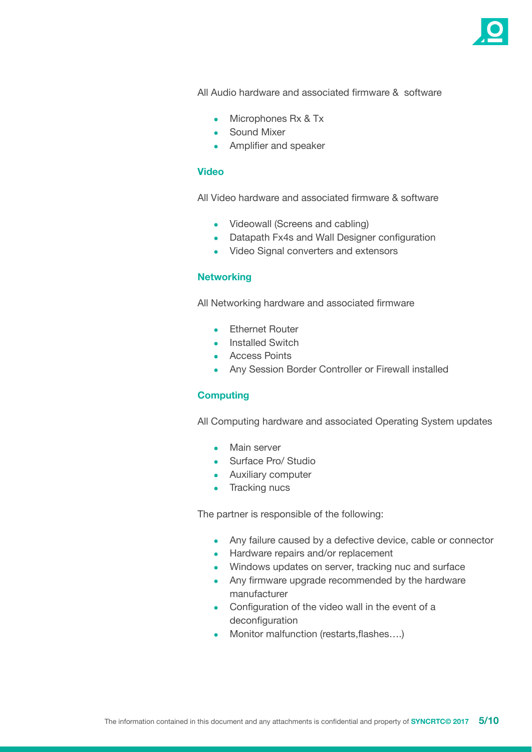

All Audio hardware and associated firmware & software

- Microphones Rx & Tx
- Sound Mixer
- Amplifier and speaker

#### **Video**

All Video hardware and associated firmware & software

- Videowall (Screens and cabling)
- Datapath Fx4s and Wall Designer configuration
- Video Signal converters and extensors

#### **Networking**

All Networking hardware and associated firmware

- Ethernet Router
- Installed Switch
- Access Points
- Any Session Border Controller or Firewall installed

#### **Computing**

All Computing hardware and associated Operating System updates

- Main server
- Surface Pro/ Studio
- Auxiliary computer
- Tracking nucs

The partner is responsible of the following:

- Any failure caused by a defective device, cable or connector
- Hardware repairs and/or replacement
- Windows updates on server, tracking nuc and surface
- Any firmware upgrade recommended by the hardware manufacturer
- Configuration of the video wall in the event of a deconfiguration
- Monitor malfunction (restarts, flashes....)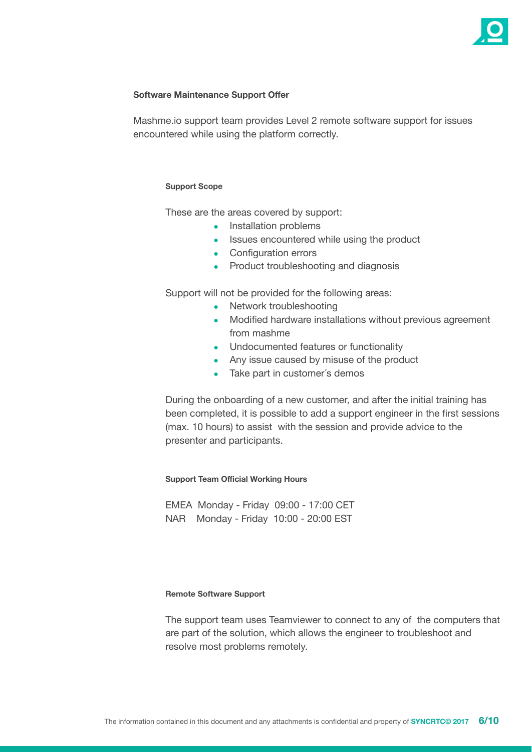

#### **Software Maintenance Support Offer**

Mashme.io support team provides Level 2 remote software support for issues encountered while using the platform correctly.

#### **Support Scope**

These are the areas covered by support:

- Installation problems
- Issues encountered while using the product
- Configuration errors
- Product troubleshooting and diagnosis

Support will not be provided for the following areas:

- Network troubleshooting
- Modified hardware installations without previous agreement from mashme
- Undocumented features or functionality
- Any issue caused by misuse of the product
- Take part in customer's demos

During the onboarding of a new customer, and after the initial training has been completed, it is possible to add a support engineer in the first sessions (max. 10 hours) to assist with the session and provide advice to the presenter and participants.

**Support Team Official Working Hours**

EMEA Monday - Friday 09:00 - 17:00 CET NAR Monday - Friday 10:00 - 20:00 EST

#### **Remote Software Support**

The support team uses Teamviewer to connect to any of the computers that are part of the solution, which allows the engineer to troubleshoot and resolve most problems remotely.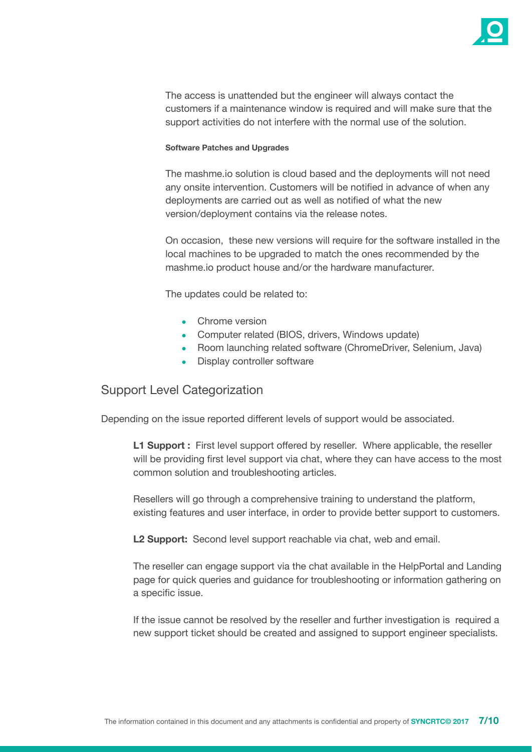

The access is unattended but the engineer will always contact the customers if a maintenance window is required and will make sure that the support activities do not interfere with the normal use of the solution.

#### **Software Patches and Upgrades**

The mashme.io solution is cloud based and the deployments will not need any onsite intervention. Customers will be notified in advance of when any deployments are carried out as well as notified of what the new version/deployment contains via the release notes.

On occasion, these new versions will require for the software installed in the local machines to be upgraded to match the ones recommended by the mashme.io product house and/or the hardware manufacturer.

The updates could be related to:

- Chrome version
- Computer related (BIOS, drivers, Windows update)
- Room launching related software (ChromeDriver, Selenium, Java)
- Display controller software

## Support Level Categorization

Depending on the issue reported different levels of support would be associated.

**L1 Support :** First level support offered by reseller. Where applicable, the reseller will be providing first level support via chat, where they can have access to the most common solution and troubleshooting articles.

Resellers will go through a comprehensive training to understand the platform, existing features and user interface, in order to provide better support to customers.

**L2 Support:** Second level support reachable via chat, web and email.

The reseller can engage support via the chat available in the HelpPortal and Landing page for quick queries and guidance for troubleshooting or information gathering on a specific issue.

If the issue cannot be resolved by the reseller and further investigation is required a new support ticket should be created and assigned to support engineer specialists.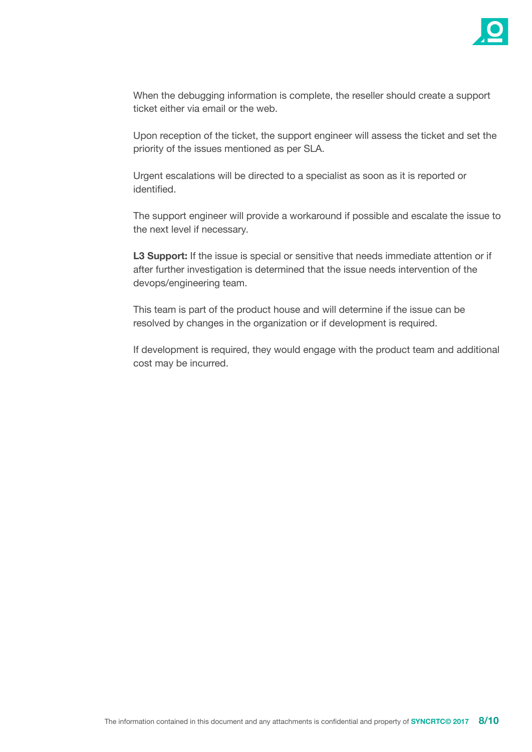

When the debugging information is complete, the reseller should create a support ticket either via email or the web.

Upon reception of the ticket, the support engineer will assess the ticket and set the priority of the issues mentioned as per SLA.

Urgent escalations will be directed to a specialist as soon as it is reported or identified.

The support engineer will provide a workaround if possible and escalate the issue to the next level if necessary.

**L3 Support:** If the issue is special or sensitive that needs immediate attention or if after further investigation is determined that the issue needs intervention of the devops/engineering team.

This team is part of the product house and will determine if the issue can be resolved by changes in the organization or if development is required.

If development is required, they would engage with the product team and additional cost may be incurred.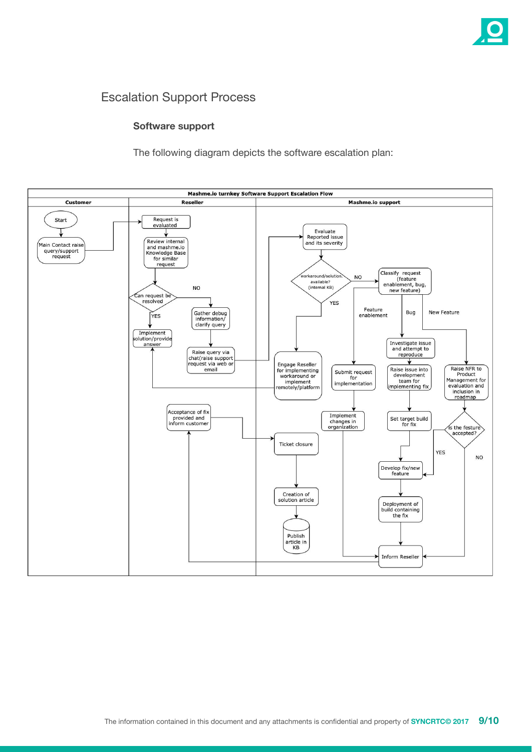

## Escalation Support Process

#### **Software support**

The following diagram depicts the software escalation plan: